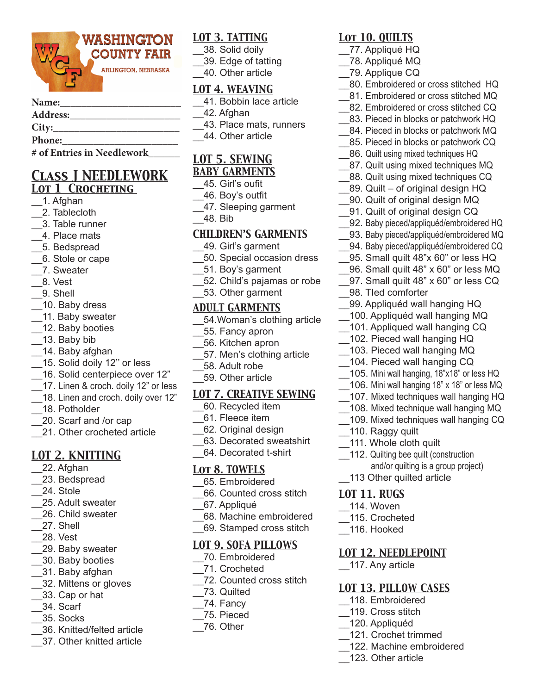

#### Name:

### **Address:\_\_\_\_\_\_\_\_\_\_\_\_\_\_\_\_\_\_\_\_\_**

### City:

**Phone:\_\_\_\_\_\_\_\_\_\_\_\_\_\_\_\_\_\_\_\_\_\_**

**# of Entries in Needlework\_\_\_\_\_\_**

### *Class J NEEDLEWORK Lot 1 Crocheting*

- \_\_1. Afghan
- \_\_2. Tablecloth
- \_\_3. Table runner
- \_\_4. Place mats
- \_\_5. Bedspread
- \_\_6. Stole or cape
- \_\_7. Sweater
- \_\_8. Vest
- \_\_9. Shell
- \_\_10. Baby dress
- \_\_11. Baby sweater
- \_\_12. Baby booties
- \_\_13. Baby bib
- \_\_14. Baby afghan
- \_\_15. Solid doily 12'' or less
- \_\_16. Solid centerpiece over 12"
- 17. Linen & croch. doily 12" or less
- \_\_18. Linen and croch. doily over 12"
- \_\_18. Potholder
- \_\_20. Scarf and /or cap
- 21. Other crocheted article

# *LOT 2. KNITTING*

- \_\_22. Afghan
- \_\_23. Bedspread
- \_\_24. Stole
- \_\_25. Adult sweater
- \_\_26. Child sweater
- \_\_27. Shell
- \_\_28. Vest
- \_\_29. Baby sweater
- \_\_30. Baby booties
- \_\_31. Baby afghan
- \_\_32. Mittens or gloves
- \_\_33. Cap or hat
- \_\_34. Scarf
- \_\_35. Socks
- \_\_36. Knitted/felted article
- \_\_37. Other knitted article

## *LOT 3. TATTING*

- \_\_38. Solid doily
- \_\_39. Edge of tatting
- \_\_40. Other article

### *LOT 4. WEAVING*

- \_\_41. Bobbin lace article
- \_\_42. Afghan
- \_\_43. Place mats, runners
- \_\_44. Other article

# *LOT 5. SEWING*

- *BABY GARMENTS*
- \_\_45. Girl's oufit
- \_\_46. Boy's outfit
- \_\_47. Sleeping garment
- \_\_48. Bib

### *CHILDREN'S GARMENTS*

- \_\_49. Girl's garment
- \_\_50. Special occasion dress
- \_\_51. Boy's garment
- \_\_52. Child's pajamas or robe
- \_\_53. Other garment

### *ADULT GARMENTS*

- \_\_54.Woman's clothing article
- \_\_55. Fancy apron
- \_\_56. Kitchen apron
- \_\_57. Men's clothing article
- \_\_58. Adult robe
- \_\_59. Other article

### *LOT 7. CREATIVE SEWING*

- \_\_60. Recycled item
- \_\_61. Fleece item
- \_\_62. Original design
- \_\_63. Decorated sweatshirt
- \_\_64. Decorated t-shirt

### *Lot 8. TOWELS*

- \_\_65. Embroidered
- \_\_66. Counted cross stitch
- \_\_67. Appliqué
- \_\_68. Machine embroidered
- \_\_69. Stamped cross stitch

### *LOT 9. SOFA PILLOWS*

- \_\_70. Embroidered
- \_\_71. Crocheted
- \_\_72. Counted cross stitch
- $\overline{\phantom{a}}$ 73. Quilted
- \_\_74. Fancy
- \_\_75. Pieced
- \_\_76. Other

## *Lot 10. QUILTS*

- \_\_77. Appliqué HQ
- \_\_78. Appliqué MQ
- \_\_79. Applique CQ

\_\_98. TIed comforter

\_\_ 110. Raggy quilt \_\_111. Whole cloth quilt

*LOT 11. RUGS* \_\_114. Woven \_\_115. Crocheted \_\_116. Hooked

112. Quilting bee quilt (construction

113 Other quilted article

*LOT 12. NEEDLEPOINT*

*LOT 13. PILLOW CASES* \_\_118. Embroidered \_\_119. Cross stitch \_\_120. Appliquéd

\_\_121. Crochet trimmed \_\_122. Machine embroidered

\_\_123. Other article

\_\_117. Any article

and/or quilting is a group project)

\_\_99. Appliquéd wall hanging HQ \_\_100. Appliquéd wall hanging MQ 101. Appliqued wall hanging CQ \_\_102. Pieced wall hanging HQ \_\_103. Pieced wall hanging MQ 104. Pieced wall hanging CQ \_\_105. Mini wall hanging, 18"x18" or less HQ \_\_106. Mini wall hanging 18" x 18" or less MQ \_\_107. Mixed techniques wall hanging HQ \_\_108. Mixed technique wall hanging MQ \_\_109. Mixed techniques wall hanging CQ

- \_\_80. Embroidered or cross stitched HQ
- \_\_81. Embroidered or cross stitched MQ
- 82. Embroidered or cross stitched CQ 83. Pieced in blocks or patchwork HQ

84. Pieced in blocks or patchwork MQ 85. Pieced in blocks or patchwork CQ 86. Quilt using mixed techniques HQ 87. Quilt using mixed techniques MQ 88. Quilt using mixed techniques CQ 89. Quilt – of original design HQ \_\_90. Quilt of original design MQ 91. Quilt of original design CQ 92. Baby pieced/appliquéd/embroidered HQ 93. Baby pieced/appliquéd/embroidered MQ 94. Baby pieced/appliquéd/embroidered CQ 95. Small quilt 48"x 60" or less HQ \_\_96. Small quilt 48" x 60" or less MQ 97. Small quilt 48" x 60" or less CQ